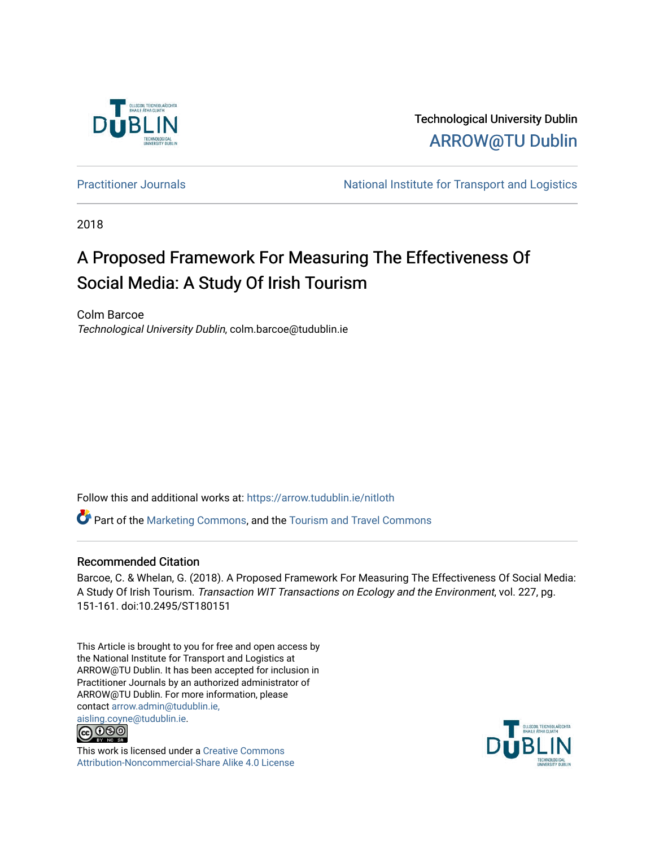

Technological University Dublin [ARROW@TU Dublin](https://arrow.tudublin.ie/) 

[Practitioner Journals](https://arrow.tudublin.ie/nitloth) **National Institute for Transport and Logistics** Practitioner Journals

2018

# A Proposed Framework For Measuring The Effectiveness Of Social Media: A Study Of Irish Tourism

Colm Barcoe Technological University Dublin, colm.barcoe@tudublin.ie

Follow this and additional works at: [https://arrow.tudublin.ie/nitloth](https://arrow.tudublin.ie/nitloth?utm_source=arrow.tudublin.ie%2Fnitloth%2F86&utm_medium=PDF&utm_campaign=PDFCoverPages)

 $\bullet$  Part of the [Marketing Commons](http://network.bepress.com/hgg/discipline/638?utm_source=arrow.tudublin.ie%2Fnitloth%2F86&utm_medium=PDF&utm_campaign=PDFCoverPages), and the Tourism and Travel Commons

# Recommended Citation

Barcoe, C. & Whelan, G. (2018). A Proposed Framework For Measuring The Effectiveness Of Social Media: A Study Of Irish Tourism. Transaction WIT Transactions on Ecology and the Environment, vol. 227, pg. 151-161. doi:10.2495/ST180151

This Article is brought to you for free and open access by the National Institute for Transport and Logistics at ARROW@TU Dublin. It has been accepted for inclusion in Practitioner Journals by an authorized administrator of ARROW@TU Dublin. For more information, please contact [arrow.admin@tudublin.ie,](mailto:arrow.admin@tudublin.ie,%20aisling.coyne@tudublin.ie)  [aisling.coyne@tudublin.ie.](mailto:arrow.admin@tudublin.ie,%20aisling.coyne@tudublin.ie)<br>© 090



This work is licensed under a [Creative Commons](http://creativecommons.org/licenses/by-nc-sa/4.0/) [Attribution-Noncommercial-Share Alike 4.0 License](http://creativecommons.org/licenses/by-nc-sa/4.0/)

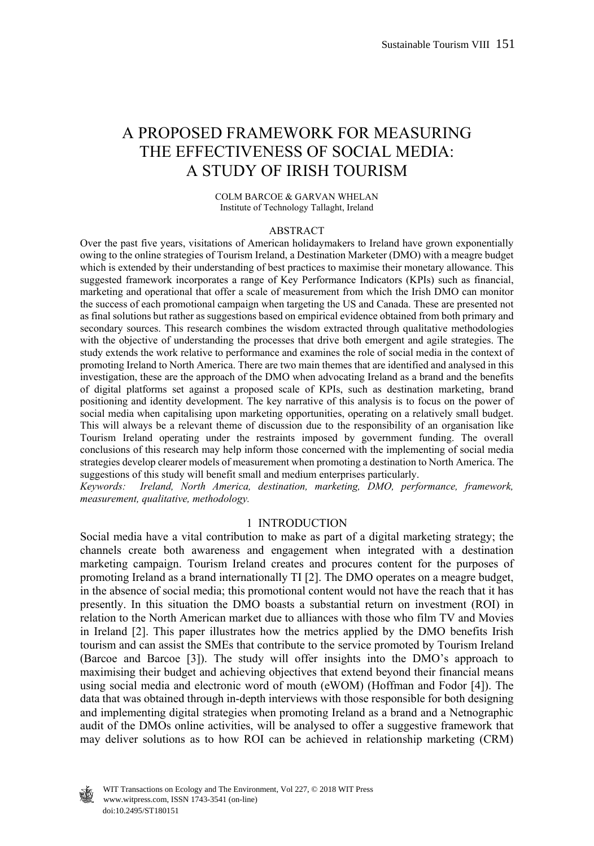# A PROPOSED FRAMEWORK FOR MEASURING THE EFFECTIVENESS OF SOCIAL MEDIA: A STUDY OF IRISH TOURISM

#### COLM BARCOE & GARVAN WHELAN Institute of Technology Tallaght, Ireland

#### ABSTRACT

Over the past five years, visitations of American holidaymakers to Ireland have grown exponentially owing to the online strategies of Tourism Ireland, a Destination Marketer (DMO) with a meagre budget which is extended by their understanding of best practices to maximise their monetary allowance. This suggested framework incorporates a range of Key Performance Indicators (KPIs) such as financial, marketing and operational that offer a scale of measurement from which the Irish DMO can monitor the success of each promotional campaign when targeting the US and Canada. These are presented not as final solutions but rather as suggestions based on empirical evidence obtained from both primary and secondary sources. This research combines the wisdom extracted through qualitative methodologies with the objective of understanding the processes that drive both emergent and agile strategies. The study extends the work relative to performance and examines the role of social media in the context of promoting Ireland to North America. There are two main themes that are identified and analysed in this investigation, these are the approach of the DMO when advocating Ireland as a brand and the benefits of digital platforms set against a proposed scale of KPIs, such as destination marketing, brand positioning and identity development. The key narrative of this analysis is to focus on the power of social media when capitalising upon marketing opportunities, operating on a relatively small budget. This will always be a relevant theme of discussion due to the responsibility of an organisation like Tourism Ireland operating under the restraints imposed by government funding. The overall conclusions of this research may help inform those concerned with the implementing of social media strategies develop clearer models of measurement when promoting a destination to North America. The suggestions of this study will benefit small and medium enterprises particularly.

*Keywords: Ireland, North America, destination, marketing, DMO, performance, framework, measurement, qualitative, methodology.* 

#### 1 INTRODUCTION

Social media have a vital contribution to make as part of a digital marketing strategy; the channels create both awareness and engagement when integrated with a destination marketing campaign. Tourism Ireland creates and procures content for the purposes of promoting Ireland as a brand internationally TI [2]. The DMO operates on a meagre budget, in the absence of social media; this promotional content would not have the reach that it has presently. In this situation the DMO boasts a substantial return on investment (ROI) in relation to the North American market due to alliances with those who film TV and Movies in Ireland [2]. This paper illustrates how the metrics applied by the DMO benefits Irish tourism and can assist the SMEs that contribute to the service promoted by Tourism Ireland (Barcoe and Barcoe [3]). The study will offer insights into the DMO's approach to maximising their budget and achieving objectives that extend beyond their financial means using social media and electronic word of mouth (eWOM) (Hoffman and Fodor [4]). The data that was obtained through in-depth interviews with those responsible for both designing and implementing digital strategies when promoting Ireland as a brand and a Netnographic audit of the DMOs online activities, will be analysed to offer a suggestive framework that may deliver solutions as to how ROI can be achieved in relationship marketing (CRM)



 www.witpress.com, ISSN 1743-3541 (on-line) WIT Transactions on Ecology and The Environment, Vol 227, © 2018 WIT Press doi:10.2495/ST180151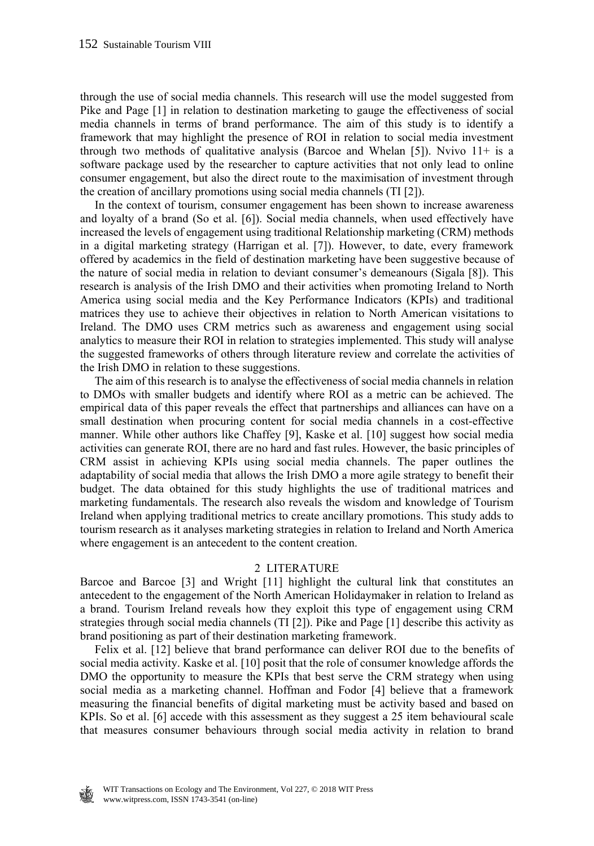through the use of social media channels. This research will use the model suggested from Pike and Page [1] in relation to destination marketing to gauge the effectiveness of social media channels in terms of brand performance. The aim of this study is to identify a framework that may highlight the presence of ROI in relation to social media investment through two methods of qualitative analysis (Barcoe and Whelan [5]). Nvivo  $11+$  is a software package used by the researcher to capture activities that not only lead to online consumer engagement, but also the direct route to the maximisation of investment through the creation of ancillary promotions using social media channels (TI [2]).

 In the context of tourism, consumer engagement has been shown to increase awareness and loyalty of a brand (So et al. [6]). Social media channels, when used effectively have increased the levels of engagement using traditional Relationship marketing (CRM) methods in a digital marketing strategy (Harrigan et al. [7]). However, to date, every framework offered by academics in the field of destination marketing have been suggestive because of the nature of social media in relation to deviant consumer's demeanours (Sigala [8]). This research is analysis of the Irish DMO and their activities when promoting Ireland to North America using social media and the Key Performance Indicators (KPIs) and traditional matrices they use to achieve their objectives in relation to North American visitations to Ireland. The DMO uses CRM metrics such as awareness and engagement using social analytics to measure their ROI in relation to strategies implemented. This study will analyse the suggested frameworks of others through literature review and correlate the activities of the Irish DMO in relation to these suggestions.

 The aim of this research is to analyse the effectiveness of social media channels in relation to DMOs with smaller budgets and identify where ROI as a metric can be achieved. The empirical data of this paper reveals the effect that partnerships and alliances can have on a small destination when procuring content for social media channels in a cost-effective manner. While other authors like Chaffey [9], Kaske et al. [10] suggest how social media activities can generate ROI, there are no hard and fast rules. However, the basic principles of CRM assist in achieving KPIs using social media channels. The paper outlines the adaptability of social media that allows the Irish DMO a more agile strategy to benefit their budget. The data obtained for this study highlights the use of traditional matrices and marketing fundamentals. The research also reveals the wisdom and knowledge of Tourism Ireland when applying traditional metrics to create ancillary promotions. This study adds to tourism research as it analyses marketing strategies in relation to Ireland and North America where engagement is an antecedent to the content creation.

#### 2 LITERATURE

Barcoe and Barcoe [3] and Wright [11] highlight the cultural link that constitutes an antecedent to the engagement of the North American Holidaymaker in relation to Ireland as a brand. Tourism Ireland reveals how they exploit this type of engagement using CRM strategies through social media channels (TI [2]). Pike and Page [1] describe this activity as brand positioning as part of their destination marketing framework.

 Felix et al. [12] believe that brand performance can deliver ROI due to the benefits of social media activity. Kaske et al. [10] posit that the role of consumer knowledge affords the DMO the opportunity to measure the KPIs that best serve the CRM strategy when using social media as a marketing channel. Hoffman and Fodor [4] believe that a framework measuring the financial benefits of digital marketing must be activity based and based on KPIs. So et al. [6] accede with this assessment as they suggest a 25 item behavioural scale that measures consumer behaviours through social media activity in relation to brand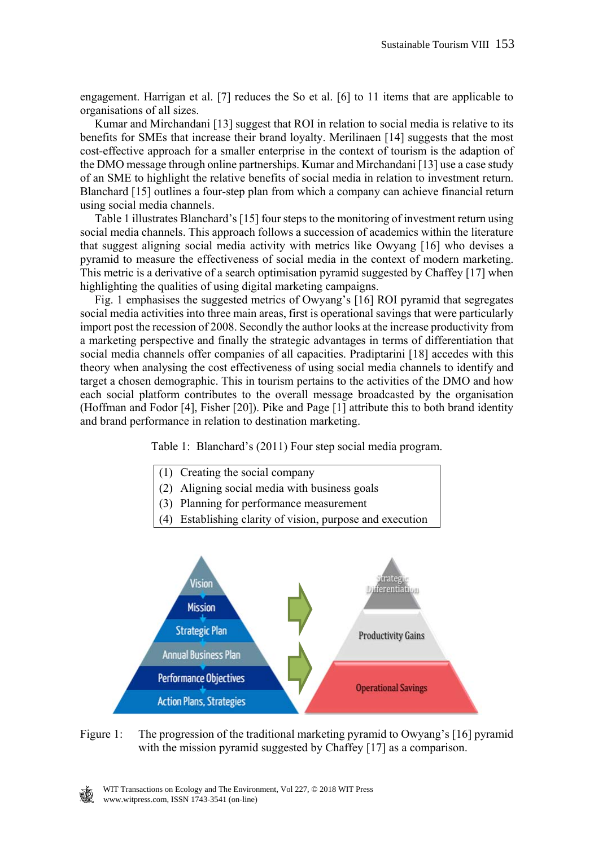engagement. Harrigan et al. [7] reduces the So et al. [6] to 11 items that are applicable to organisations of all sizes.

 Kumar and Mirchandani [13] suggest that ROI in relation to social media is relative to its benefits for SMEs that increase their brand loyalty. Merilinaen [14] suggests that the most cost-effective approach for a smaller enterprise in the context of tourism is the adaption of the DMO message through online partnerships. Kumar and Mirchandani [13] use a case study of an SME to highlight the relative benefits of social media in relation to investment return. Blanchard [15] outlines a four-step plan from which a company can achieve financial return using social media channels.

 Table 1 illustrates Blanchard's [15] four steps to the monitoring of investment return using social media channels. This approach follows a succession of academics within the literature that suggest aligning social media activity with metrics like Owyang [16] who devises a pyramid to measure the effectiveness of social media in the context of modern marketing. This metric is a derivative of a search optimisation pyramid suggested by Chaffey [17] when highlighting the qualities of using digital marketing campaigns.

 Fig. 1 emphasises the suggested metrics of Owyang's [16] ROI pyramid that segregates social media activities into three main areas, first is operational savings that were particularly import post the recession of 2008. Secondly the author looks at the increase productivity from a marketing perspective and finally the strategic advantages in terms of differentiation that social media channels offer companies of all capacities. Pradiptarini [18] accedes with this theory when analysing the cost effectiveness of using social media channels to identify and target a chosen demographic. This in tourism pertains to the activities of the DMO and how each social platform contributes to the overall message broadcasted by the organisation (Hoffman and Fodor [4], Fisher [20]). Pike and Page [1] attribute this to both brand identity and brand performance in relation to destination marketing.

Table 1: Blanchard's (2011) Four step social media program.



- (2) Aligning social media with business goals
- (3) Planning for performance measurement
- (4) Establishing clarity of vision, purpose and execution



Figure 1: The progression of the traditional marketing pyramid to Owyang's [16] pyramid with the mission pyramid suggested by Chaffey [17] as a comparison.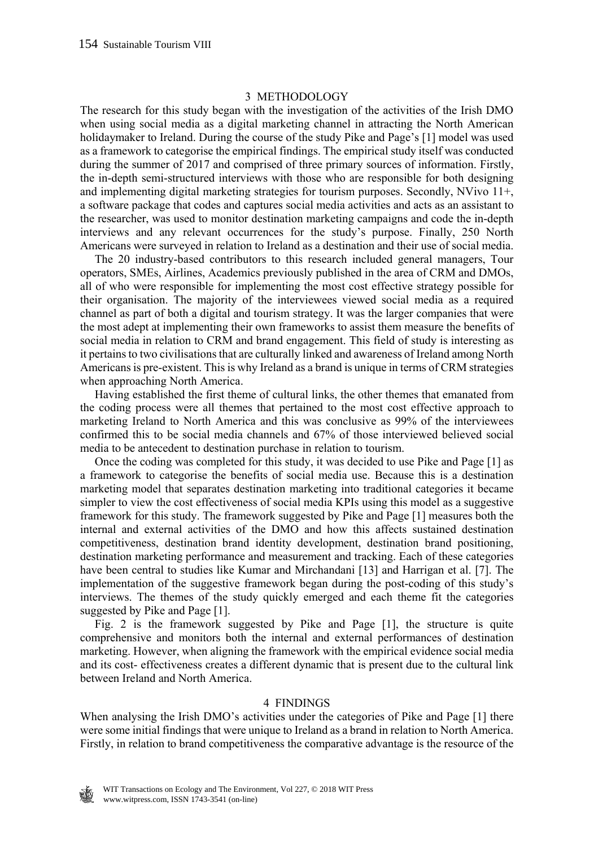#### 3 METHODOLOGY

The research for this study began with the investigation of the activities of the Irish DMO when using social media as a digital marketing channel in attracting the North American holidaymaker to Ireland. During the course of the study Pike and Page's [1] model was used as a framework to categorise the empirical findings. The empirical study itself was conducted during the summer of 2017 and comprised of three primary sources of information. Firstly, the in-depth semi-structured interviews with those who are responsible for both designing and implementing digital marketing strategies for tourism purposes. Secondly, NVivo 11+, a software package that codes and captures social media activities and acts as an assistant to the researcher, was used to monitor destination marketing campaigns and code the in-depth interviews and any relevant occurrences for the study's purpose. Finally, 250 North Americans were surveyed in relation to Ireland as a destination and their use of social media.

 The 20 industry-based contributors to this research included general managers, Tour operators, SMEs, Airlines, Academics previously published in the area of CRM and DMOs, all of who were responsible for implementing the most cost effective strategy possible for their organisation. The majority of the interviewees viewed social media as a required channel as part of both a digital and tourism strategy. It was the larger companies that were the most adept at implementing their own frameworks to assist them measure the benefits of social media in relation to CRM and brand engagement. This field of study is interesting as it pertains to two civilisations that are culturally linked and awareness of Ireland among North Americans is pre-existent. This is why Ireland as a brand is unique in terms of CRM strategies when approaching North America.

 Having established the first theme of cultural links, the other themes that emanated from the coding process were all themes that pertained to the most cost effective approach to marketing Ireland to North America and this was conclusive as 99% of the interviewees confirmed this to be social media channels and 67% of those interviewed believed social media to be antecedent to destination purchase in relation to tourism.

 Once the coding was completed for this study, it was decided to use Pike and Page [1] as a framework to categorise the benefits of social media use. Because this is a destination marketing model that separates destination marketing into traditional categories it became simpler to view the cost effectiveness of social media KPIs using this model as a suggestive framework for this study. The framework suggested by Pike and Page [1] measures both the internal and external activities of the DMO and how this affects sustained destination competitiveness, destination brand identity development, destination brand positioning, destination marketing performance and measurement and tracking. Each of these categories have been central to studies like Kumar and Mirchandani [13] and Harrigan et al. [7]. The implementation of the suggestive framework began during the post-coding of this study's interviews. The themes of the study quickly emerged and each theme fit the categories suggested by Pike and Page [1].

 Fig. 2 is the framework suggested by Pike and Page [1], the structure is quite comprehensive and monitors both the internal and external performances of destination marketing. However, when aligning the framework with the empirical evidence social media and its cost- effectiveness creates a different dynamic that is present due to the cultural link between Ireland and North America.

#### 4 FINDINGS

When analysing the Irish DMO's activities under the categories of Pike and Page [1] there were some initial findings that were unique to Ireland as a brand in relation to North America. Firstly, in relation to brand competitiveness the comparative advantage is the resource of the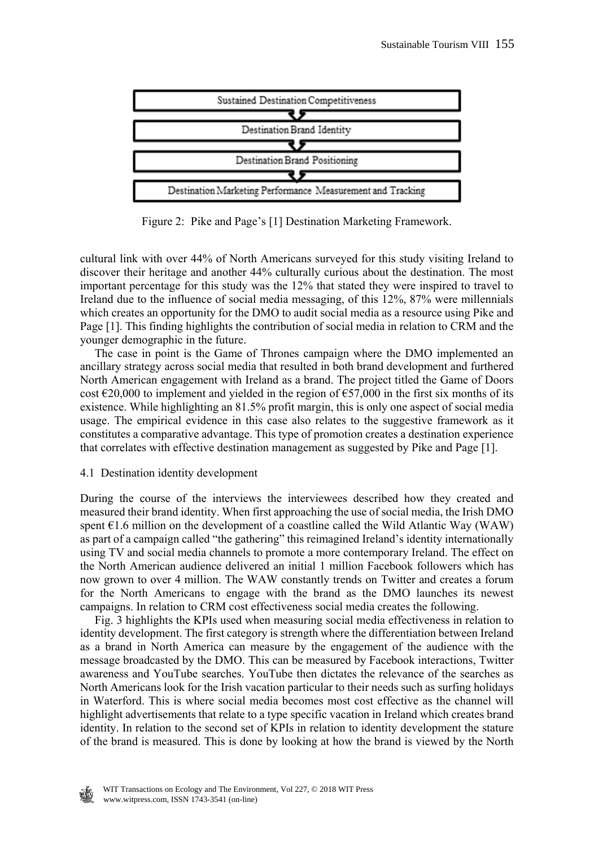

Figure 2: Pike and Page's [1] Destination Marketing Framework.

cultural link with over 44% of North Americans surveyed for this study visiting Ireland to discover their heritage and another 44% culturally curious about the destination. The most important percentage for this study was the 12% that stated they were inspired to travel to Ireland due to the influence of social media messaging, of this 12%, 87% were millennials which creates an opportunity for the DMO to audit social media as a resource using Pike and Page [1]. This finding highlights the contribution of social media in relation to CRM and the younger demographic in the future.

 The case in point is the Game of Thrones campaign where the DMO implemented an ancillary strategy across social media that resulted in both brand development and furthered North American engagement with Ireland as a brand. The project titled the Game of Doors cost  $\epsilon$ 20,000 to implement and yielded in the region of  $\epsilon$ 57,000 in the first six months of its existence. While highlighting an 81.5% profit margin, this is only one aspect of social media usage. The empirical evidence in this case also relates to the suggestive framework as it constitutes a comparative advantage. This type of promotion creates a destination experience that correlates with effective destination management as suggested by Pike and Page [1].

# 4.1 Destination identity development

During the course of the interviews the interviewees described how they created and measured their brand identity. When first approaching the use of social media, the Irish DMO spent  $E1.6$  million on the development of a coastline called the Wild Atlantic Way (WAW) as part of a campaign called "the gathering" this reimagined Ireland's identity internationally using TV and social media channels to promote a more contemporary Ireland. The effect on the North American audience delivered an initial 1 million Facebook followers which has now grown to over 4 million. The WAW constantly trends on Twitter and creates a forum for the North Americans to engage with the brand as the DMO launches its newest campaigns. In relation to CRM cost effectiveness social media creates the following.

 Fig. 3 highlights the KPIs used when measuring social media effectiveness in relation to identity development. The first category is strength where the differentiation between Ireland as a brand in North America can measure by the engagement of the audience with the message broadcasted by the DMO. This can be measured by Facebook interactions, Twitter awareness and YouTube searches. YouTube then dictates the relevance of the searches as North Americans look for the Irish vacation particular to their needs such as surfing holidays in Waterford. This is where social media becomes most cost effective as the channel will highlight advertisements that relate to a type specific vacation in Ireland which creates brand identity. In relation to the second set of KPIs in relation to identity development the stature of the brand is measured. This is done by looking at how the brand is viewed by the North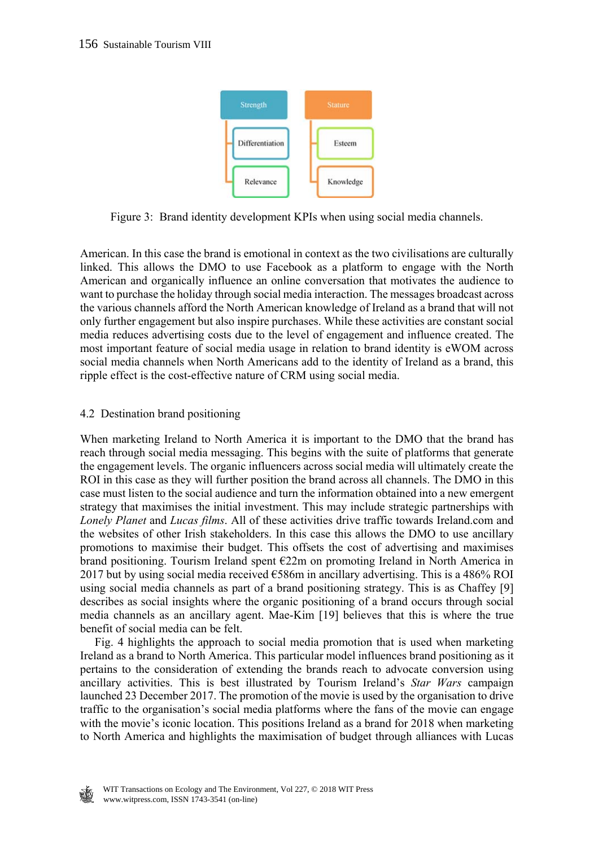

Figure 3: Brand identity development KPIs when using social media channels.

American. In this case the brand is emotional in context as the two civilisations are culturally linked. This allows the DMO to use Facebook as a platform to engage with the North American and organically influence an online conversation that motivates the audience to want to purchase the holiday through social media interaction. The messages broadcast across the various channels afford the North American knowledge of Ireland as a brand that will not only further engagement but also inspire purchases. While these activities are constant social media reduces advertising costs due to the level of engagement and influence created. The most important feature of social media usage in relation to brand identity is eWOM across social media channels when North Americans add to the identity of Ireland as a brand, this ripple effect is the cost-effective nature of CRM using social media.

# 4.2 Destination brand positioning

When marketing Ireland to North America it is important to the DMO that the brand has reach through social media messaging. This begins with the suite of platforms that generate the engagement levels. The organic influencers across social media will ultimately create the ROI in this case as they will further position the brand across all channels. The DMO in this case must listen to the social audience and turn the information obtained into a new emergent strategy that maximises the initial investment. This may include strategic partnerships with *Lonely Planet* and *Lucas films*. All of these activities drive traffic towards Ireland.com and the websites of other Irish stakeholders. In this case this allows the DMO to use ancillary promotions to maximise their budget. This offsets the cost of advertising and maximises brand positioning. Tourism Ireland spent €22m on promoting Ireland in North America in 2017 but by using social media received  $\epsilon$ 586m in ancillary advertising. This is a 486% ROI using social media channels as part of a brand positioning strategy. This is as Chaffey [9] describes as social insights where the organic positioning of a brand occurs through social media channels as an ancillary agent. Mae-Kim [19] believes that this is where the true benefit of social media can be felt.

 Fig. 4 highlights the approach to social media promotion that is used when marketing Ireland as a brand to North America. This particular model influences brand positioning as it pertains to the consideration of extending the brands reach to advocate conversion using ancillary activities. This is best illustrated by Tourism Ireland's *Star Wars* campaign launched 23 December 2017. The promotion of the movie is used by the organisation to drive traffic to the organisation's social media platforms where the fans of the movie can engage with the movie's iconic location. This positions Ireland as a brand for 2018 when marketing to North America and highlights the maximisation of budget through alliances with Lucas

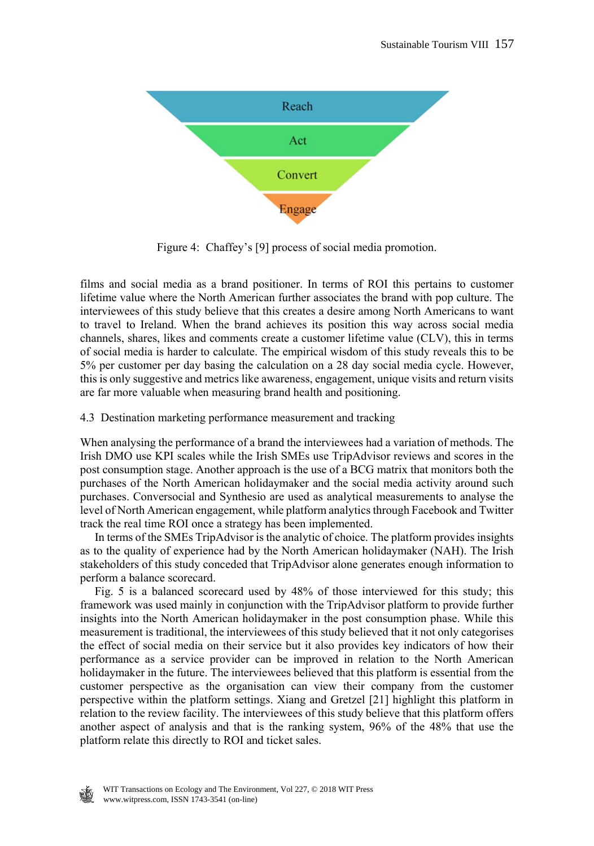

Figure 4: Chaffey's [9] process of social media promotion.

films and social media as a brand positioner. In terms of ROI this pertains to customer lifetime value where the North American further associates the brand with pop culture. The interviewees of this study believe that this creates a desire among North Americans to want to travel to Ireland. When the brand achieves its position this way across social media channels, shares, likes and comments create a customer lifetime value (CLV), this in terms of social media is harder to calculate. The empirical wisdom of this study reveals this to be 5% per customer per day basing the calculation on a 28 day social media cycle. However, this is only suggestive and metrics like awareness, engagement, unique visits and return visits are far more valuable when measuring brand health and positioning.

### 4.3 Destination marketing performance measurement and tracking

When analysing the performance of a brand the interviewees had a variation of methods. The Irish DMO use KPI scales while the Irish SMEs use TripAdvisor reviews and scores in the post consumption stage. Another approach is the use of a BCG matrix that monitors both the purchases of the North American holidaymaker and the social media activity around such purchases. Conversocial and Synthesio are used as analytical measurements to analyse the level of North American engagement, while platform analytics through Facebook and Twitter track the real time ROI once a strategy has been implemented.

 In terms of the SMEs TripAdvisor is the analytic of choice. The platform provides insights as to the quality of experience had by the North American holidaymaker (NAH). The Irish stakeholders of this study conceded that TripAdvisor alone generates enough information to perform a balance scorecard.

 Fig. 5 is a balanced scorecard used by 48% of those interviewed for this study; this framework was used mainly in conjunction with the TripAdvisor platform to provide further insights into the North American holidaymaker in the post consumption phase. While this measurement is traditional, the interviewees of this study believed that it not only categorises the effect of social media on their service but it also provides key indicators of how their performance as a service provider can be improved in relation to the North American holidaymaker in the future. The interviewees believed that this platform is essential from the customer perspective as the organisation can view their company from the customer perspective within the platform settings. Xiang and Gretzel [21] highlight this platform in relation to the review facility. The interviewees of this study believe that this platform offers another aspect of analysis and that is the ranking system, 96% of the 48% that use the platform relate this directly to ROI and ticket sales.

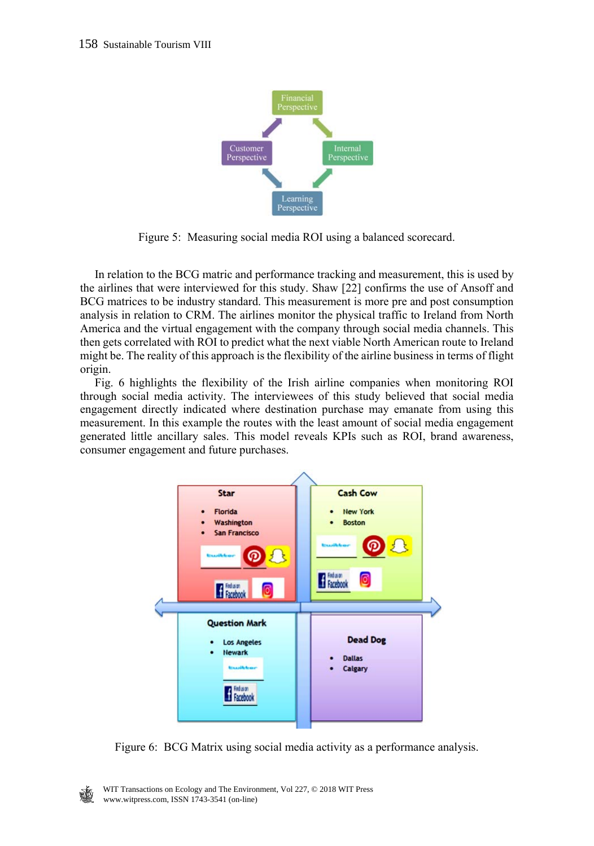

Figure 5: Measuring social media ROI using a balanced scorecard.

 In relation to the BCG matric and performance tracking and measurement, this is used by the airlines that were interviewed for this study. Shaw [22] confirms the use of Ansoff and BCG matrices to be industry standard. This measurement is more pre and post consumption analysis in relation to CRM. The airlines monitor the physical traffic to Ireland from North America and the virtual engagement with the company through social media channels. This then gets correlated with ROI to predict what the next viable North American route to Ireland might be. The reality of this approach is the flexibility of the airline business in terms of flight origin.

 Fig. 6 highlights the flexibility of the Irish airline companies when monitoring ROI through social media activity. The interviewees of this study believed that social media engagement directly indicated where destination purchase may emanate from using this measurement. In this example the routes with the least amount of social media engagement generated little ancillary sales. This model reveals KPIs such as ROI, brand awareness, consumer engagement and future purchases.



Figure 6: BCG Matrix using social media activity as a performance analysis.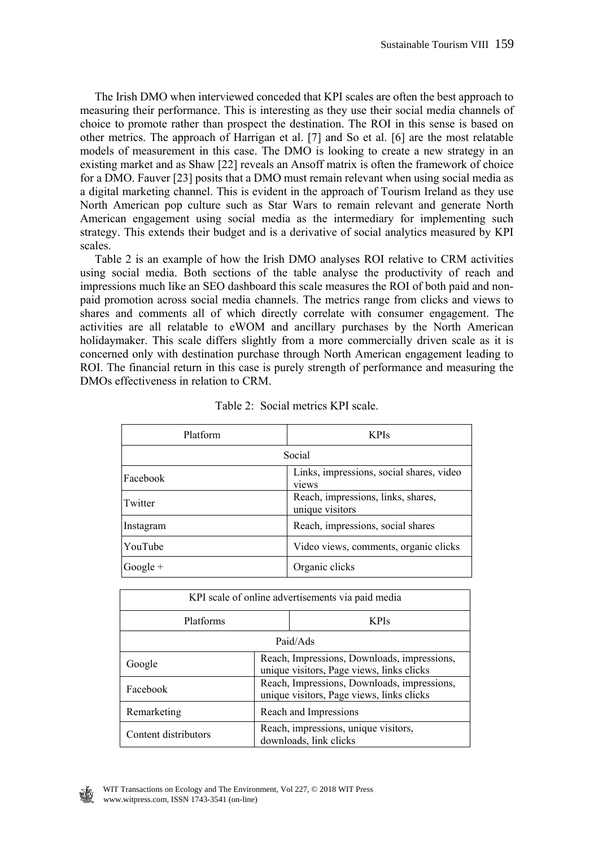The Irish DMO when interviewed conceded that KPI scales are often the best approach to measuring their performance. This is interesting as they use their social media channels of choice to promote rather than prospect the destination. The ROI in this sense is based on other metrics. The approach of Harrigan et al. [7] and So et al. [6] are the most relatable models of measurement in this case. The DMO is looking to create a new strategy in an existing market and as Shaw [22] reveals an Ansoff matrix is often the framework of choice for a DMO. Fauver [23] posits that a DMO must remain relevant when using social media as a digital marketing channel. This is evident in the approach of Tourism Ireland as they use North American pop culture such as Star Wars to remain relevant and generate North American engagement using social media as the intermediary for implementing such strategy. This extends their budget and is a derivative of social analytics measured by KPI scales.

 Table 2 is an example of how the Irish DMO analyses ROI relative to CRM activities using social media. Both sections of the table analyse the productivity of reach and impressions much like an SEO dashboard this scale measures the ROI of both paid and nonpaid promotion across social media channels. The metrics range from clicks and views to shares and comments all of which directly correlate with consumer engagement. The activities are all relatable to eWOM and ancillary purchases by the North American holidaymaker. This scale differs slightly from a more commercially driven scale as it is concerned only with destination purchase through North American engagement leading to ROI. The financial return in this case is purely strength of performance and measuring the DMOs effectiveness in relation to CRM.

| Platform   | <b>KPIs</b>                                           |  |
|------------|-------------------------------------------------------|--|
| Social     |                                                       |  |
| Facebook   | Links, impressions, social shares, video<br>views     |  |
| Twitter    | Reach, impressions, links, shares,<br>unique visitors |  |
| Instagram  | Reach, impressions, social shares                     |  |
| YouTube    | Video views, comments, organic clicks                 |  |
| $Google +$ | Organic clicks                                        |  |

| Table 2: Social metrics KPI scale. |  |  |  |  |
|------------------------------------|--|--|--|--|
|------------------------------------|--|--|--|--|

| KPI scale of online advertisements via paid media |                                                                                          |                                                                |  |  |
|---------------------------------------------------|------------------------------------------------------------------------------------------|----------------------------------------------------------------|--|--|
| Platforms                                         |                                                                                          | <b>KPIs</b>                                                    |  |  |
| Paid/Ads                                          |                                                                                          |                                                                |  |  |
| Google                                            | Reach, Impressions, Downloads, impressions,<br>unique visitors, Page views, links clicks |                                                                |  |  |
| Facebook                                          | Reach, Impressions, Downloads, impressions,<br>unique visitors, Page views, links clicks |                                                                |  |  |
| Remarketing                                       | Reach and Impressions                                                                    |                                                                |  |  |
| Content distributors                              |                                                                                          | Reach, impressions, unique visitors,<br>downloads, link clicks |  |  |

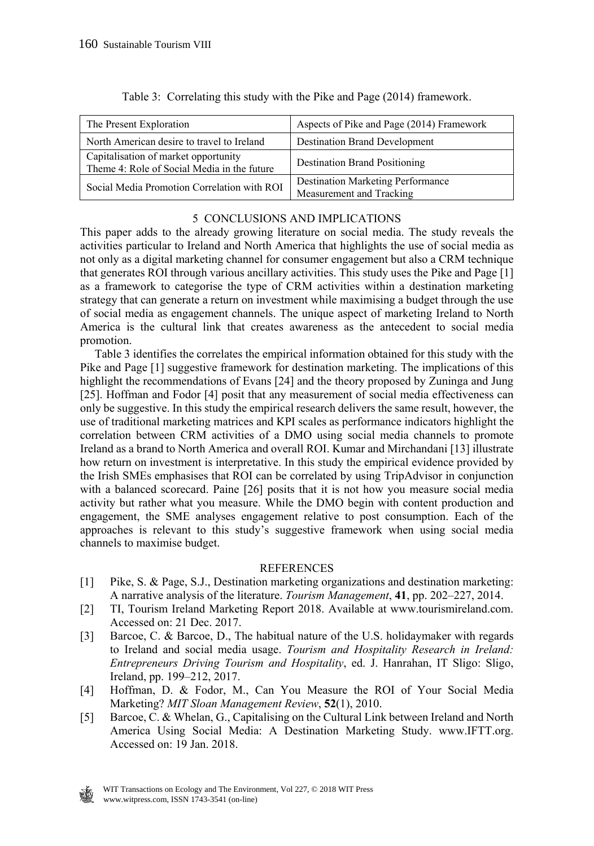| The Present Exploration                                                             | Aspects of Pike and Page (2014) Framework                            |
|-------------------------------------------------------------------------------------|----------------------------------------------------------------------|
| North American desire to travel to Ireland                                          | <b>Destination Brand Development</b>                                 |
| Capitalisation of market opportunity<br>Theme 4: Role of Social Media in the future | <b>Destination Brand Positioning</b>                                 |
| Social Media Promotion Correlation with ROI                                         | <b>Destination Marketing Performance</b><br>Measurement and Tracking |

Table 3: Correlating this study with the Pike and Page (2014) framework.

# 5 CONCLUSIONS AND IMPLICATIONS

This paper adds to the already growing literature on social media. The study reveals the activities particular to Ireland and North America that highlights the use of social media as not only as a digital marketing channel for consumer engagement but also a CRM technique that generates ROI through various ancillary activities. This study uses the Pike and Page [1] as a framework to categorise the type of CRM activities within a destination marketing strategy that can generate a return on investment while maximising a budget through the use of social media as engagement channels. The unique aspect of marketing Ireland to North America is the cultural link that creates awareness as the antecedent to social media promotion.

 Table 3 identifies the correlates the empirical information obtained for this study with the Pike and Page [1] suggestive framework for destination marketing. The implications of this highlight the recommendations of Evans [24] and the theory proposed by Zuninga and Jung [25]. Hoffman and Fodor [4] posit that any measurement of social media effectiveness can only be suggestive. In this study the empirical research delivers the same result, however, the use of traditional marketing matrices and KPI scales as performance indicators highlight the correlation between CRM activities of a DMO using social media channels to promote Ireland as a brand to North America and overall ROI. Kumar and Mirchandani [13] illustrate how return on investment is interpretative. In this study the empirical evidence provided by the Irish SMEs emphasises that ROI can be correlated by using TripAdvisor in conjunction with a balanced scorecard. Paine [26] posits that it is not how you measure social media activity but rather what you measure. While the DMO begin with content production and engagement, the SME analyses engagement relative to post consumption. Each of the approaches is relevant to this study's suggestive framework when using social media channels to maximise budget.

#### **REFERENCES**

- [1] Pike, S. & Page, S.J., Destination marketing organizations and destination marketing: A narrative analysis of the literature. *Tourism Management*, **41**, pp. 202–227, 2014.
- [2] TI, Tourism Ireland Marketing Report 2018. Available at www.tourismireland.com. Accessed on: 21 Dec. 2017.
- [3] Barcoe, C. & Barcoe, D., The habitual nature of the U.S. holidaymaker with regards to Ireland and social media usage. *Tourism and Hospitality Research in Ireland: Entrepreneurs Driving Tourism and Hospitality*, ed. J. Hanrahan, IT Sligo: Sligo, Ireland, pp. 199–212, 2017.
- [4] Hoffman, D. & Fodor, M., Can You Measure the ROI of Your Social Media Marketing? *MIT Sloan Management Review*, **52**(1), 2010.
- [5] Barcoe, C. & Whelan, G., Capitalising on the Cultural Link between Ireland and North America Using Social Media: A Destination Marketing Study. www.IFTT.org. Accessed on: 19 Jan. 2018.